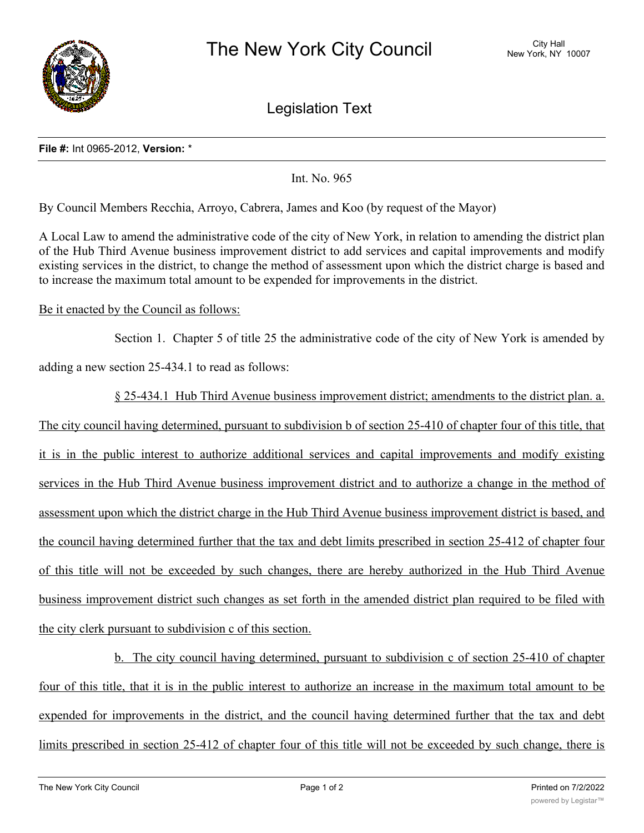

Legislation Text

## **File #:** Int 0965-2012, **Version:** \*

Int. No. 965

By Council Members Recchia, Arroyo, Cabrera, James and Koo (by request of the Mayor)

A Local Law to amend the administrative code of the city of New York, in relation to amending the district plan of the Hub Third Avenue business improvement district to add services and capital improvements and modify existing services in the district, to change the method of assessment upon which the district charge is based and to increase the maximum total amount to be expended for improvements in the district.

## Be it enacted by the Council as follows:

Section 1. Chapter 5 of title 25 the administrative code of the city of New York is amended by

adding a new section 25-434.1 to read as follows:

§ 25-434.1 Hub Third Avenue business improvement district; amendments to the district plan. a. The city council having determined, pursuant to subdivision b of section 25-410 of chapter four of this title, that it is in the public interest to authorize additional services and capital improvements and modify existing services in the Hub Third Avenue business improvement district and to authorize a change in the method of assessment upon which the district charge in the Hub Third Avenue business improvement district is based, and the council having determined further that the tax and debt limits prescribed in section 25-412 of chapter four of this title will not be exceeded by such changes, there are hereby authorized in the Hub Third Avenue business improvement district such changes as set forth in the amended district plan required to be filed with the city clerk pursuant to subdivision c of this section.

b. The city council having determined, pursuant to subdivision c of section 25-410 of chapter four of this title, that it is in the public interest to authorize an increase in the maximum total amount to be expended for improvements in the district, and the council having determined further that the tax and debt limits prescribed in section 25-412 of chapter four of this title will not be exceeded by such change, there is